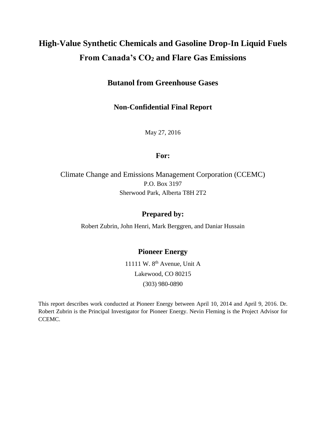# **High-Value Synthetic Chemicals and Gasoline Drop-In Liquid Fuels From Canada's CO<sup>2</sup> and Flare Gas Emissions**

# **Butanol from Greenhouse Gases**

## **Non-Confidential Final Report**

May 27, 2016

## **For:**

## Climate Change and Emissions Management Corporation (CCEMC) P.O. Box 3197 Sherwood Park, Alberta T8H 2T2

## **Prepared by:**

Robert Zubrin, John Henri, Mark Berggren, and Daniar Hussain

## **Pioneer Energy**

11111 W. 8<sup>th</sup> Avenue, Unit A Lakewood, CO 80215 (303) 980-0890

This report describes work conducted at Pioneer Energy between April 10, 2014 and April 9, 2016. Dr. Robert Zubrin is the Principal Investigator for Pioneer Energy. Nevin Fleming is the Project Advisor for CCEMC.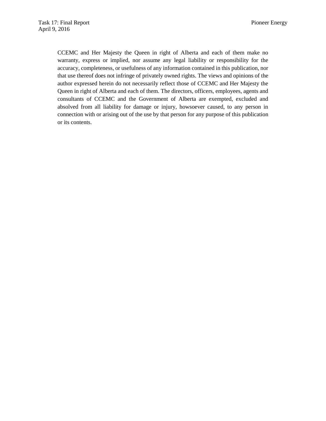CCEMC and Her Majesty the Queen in right of Alberta and each of them make no warranty, express or implied, nor assume any legal liability or responsibility for the accuracy, completeness, or usefulness of any information contained in this publication, nor that use thereof does not infringe of privately owned rights. The views and opinions of the author expressed herein do not necessarily reflect those of CCEMC and Her Majesty the Queen in right of Alberta and each of them. The directors, officers, employees, agents and consultants of CCEMC and the Government of Alberta are exempted, excluded and absolved from all liability for damage or injury, howsoever caused, to any person in connection with or arising out of the use by that person for any purpose of this publication or its contents.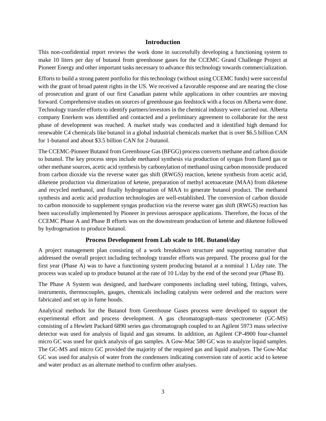#### **Introduction**

This non-confidential report reviews the work done in successfully developing a functioning system to make 10 liters per day of butanol from greenhouse gases for the CCEMC Grand Challenge Project at Pioneer Energy and other important tasks necessary to advance this technology towards commercialization.

Efforts to build a strong patent portfolio for this technology (without using CCEMC funds) were successful with the grant of broad patent rights in the US. We received a favorable response and are nearing the close of prosecution and grant of our first Canadian patent while applications in other countries are moving forward. Comprehensive studies on sources of greenhouse gas feedstock with a focus on Alberta were done. Technology transfer efforts to identify partners/investors in the chemical industry were carried out. Alberta company Enerkem was identified and contacted and a preliminary agreement to collaborate for the next phase of development was reached. A market study was conducted and it identified high demand for renewable C4 chemicals like butanol in a global industrial chemicals market that is over \$6.5 billion CAN for 1-butanol and about \$3.5 billion CAN for 2-butanol.

The CCEMC-Pioneer Butanol from Greenhouse Gas (BFGG) process converts methane and carbon dioxide to butanol. The key process steps include methanol synthesis via production of syngas from flared gas or other methane sources, acetic acid synthesis by carbonylation of methanol using carbon monoxide produced from carbon dioxide via the reverse water gas shift (RWGS) reaction, ketene synthesis from acetic acid, diketene production via dimerization of ketene, preparation of methyl acetoacetate (MAA) from diketene and recycled methanol, and finally hydrogenation of MAA to generate butanol product. The methanol synthesis and acetic acid production technologies are well-established. The conversion of carbon dioxide to carbon monoxide to supplement syngas production via the reverse water gas shift (RWGS) reaction has been successfully implemented by Pioneer in previous aerospace applications. Therefore, the focus of the CCEMC Phase A and Phase B efforts was on the downstream production of ketene and diketene followed by hydrogenation to produce butanol.

#### **Process Development from Lab scale to 10L Butanol/day**

A project management plan consisting of a work breakdown structure and supporting narrative that addressed the overall project including technology transfer efforts was prepared. The process goal for the first year (Phase A) was to have a functioning system producing butanol at a nominal 1 L/day rate. The process was scaled up to produce butanol at the rate of 10 L/day by the end of the second year (Phase B).

The Phase A System was designed, and hardware components including steel tubing, fittings, valves, instruments, thermocouples, gauges, chemicals including catalysts were ordered and the reactors were fabricated and set up in fume hoods.

Analytical methods for the Butanol from Greenhouse Gases process were developed to support the experimental effort and process development. A gas chromatograph-mass spectrometer (GC-MS) consisting of a Hewlett Packard 6890 series gas chromatograph coupled to an Agilent 5973 mass selective detector was used for analysis of liquid and gas streams. In addition, an Agilent CP-4900 four-channel micro GC was used for quick analysis of gas samples. A Gow-Mac 580 GC was to analyze liquid samples. The GC-MS and micro GC provided the majority of the required gas and liquid analyses. The Gow-Mac GC was used for analysis of water from the condensers indicating conversion rate of acetic acid to ketene and water product as an alternate method to confirm other analyses.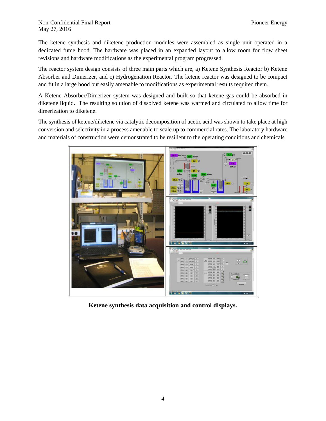#### Non-Confidential Final Report **Pioneer Energy** May 27, 2016

The ketene synthesis and diketene production modules were assembled as single unit operated in a dedicated fume hood. The hardware was placed in an expanded layout to allow room for flow sheet revisions and hardware modifications as the experimental program progressed.

The reactor system design consists of three main parts which are, a) Ketene Synthesis Reactor b) Ketene Absorber and Dimerizer, and c) Hydrogenation Reactor. The ketene reactor was designed to be compact and fit in a large hood but easily amenable to modifications as experimental results required them.

A Ketene Absorber/Dimerizer system was designed and built so that ketene gas could be absorbed in diketene liquid. The resulting solution of dissolved ketene was warmed and circulated to allow time for dimerization to diketene.

The synthesis of ketene/diketene via catalytic decomposition of acetic acid was shown to take place at high conversion and selectivity in a process amenable to scale up to commercial rates. The laboratory hardware and materials of construction were demonstrated to be resilient to the operating conditions and chemicals.



**Ketene synthesis data acquisition and control displays.**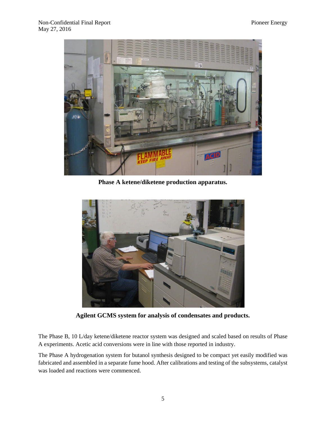

**Phase A ketene/diketene production apparatus.**



**Agilent GCMS system for analysis of condensates and products.**

The Phase B, 10 L/day ketene/diketene reactor system was designed and scaled based on results of Phase A experiments. Acetic acid conversions were in line with those reported in industry.

The Phase A hydrogenation system for butanol synthesis designed to be compact yet easily modified was fabricated and assembled in a separate fume hood. After calibrations and testing of the subsystems, catalyst was loaded and reactions were commenced.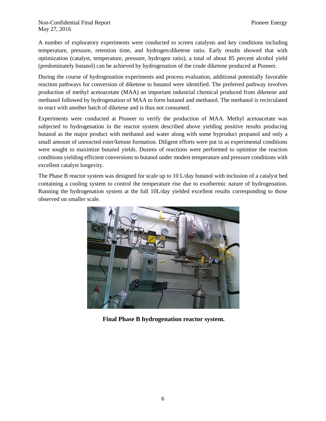A number of exploratory experiments were conducted to screen catalysts and key conditions including temperature, pressure, retention time, and hydrogen:diketene ratio. Early results showed that with optimization (catalyst, temperature, pressure, hydrogen ratio), a total of about 85 percent alcohol yield (predominately butanol) can be achieved by hydrogenation of the crude diketene produced at Pioneer.

During the course of hydrogenation experiments and process evaluation, additional potentially favorable reaction pathways for conversion of diketene to butanol were identified. The preferred pathway involves production of methyl acetoacetate (MAA) an important industrial chemical produced from diketene and methanol followed by hydrogenation of MAA to form butanol and methanol. The methanol is recirculated to react with another batch of diketene and is thus not consumed.

Experiments were conducted at Pioneer to verify the production of MAA. Methyl acetoacetate was subjected to hydrogenation in the reactor system described above yielding positive results producing butanol as the major product with methanol and water along with some byproduct propanol and only a small amount of unreacted ester/ketone formation. Diligent efforts were put in as experimental conditions were sought to maximize butanol yields. Dozens of reactions were performed to optimize the reaction conditions yielding efficient conversions to butanol under modest temperature and pressure conditions with excellent catalyst longevity.

The Phase B reactor system was designed for scale up to 10 L/day butanol with inclusion of a catalyst bed containing a cooling system to control the temperature rise due to exothermic nature of hydrogenation. Running the hydrogenation system at the full 10L/day yielded excellent results corresponding to those observed on smaller scale.



**Final Phase B hydrogenation reactor system.**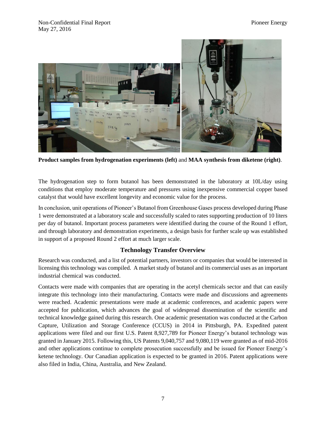

**Product samples from hydrogenation experiments (left)** and **MAA synthesis from diketene (right)**.

The hydrogenation step to form butanol has been demonstrated in the laboratory at 10L/day using conditions that employ moderate temperature and pressures using inexpensive commercial copper based catalyst that would have excellent longevity and economic value for the process.

In conclusion, unit operations of Pioneer's Butanol from Greenhouse Gases process developed during Phase 1 were demonstrated at a laboratory scale and successfully scaled to rates supporting production of 10 liters per day of butanol. Important process parameters were identified during the course of the Round 1 effort, and through laboratory and demonstration experiments, a design basis for further scale up was established in support of a proposed Round 2 effort at much larger scale.

#### **Technology Transfer Overview**

Research was conducted, and a list of potential partners, investors or companies that would be interested in licensing this technology was compiled. A market study of butanol and its commercial uses as an important industrial chemical was conducted.

Contacts were made with companies that are operating in the acetyl chemicals sector and that can easily integrate this technology into their manufacturing. Contacts were made and discussions and agreements were reached. Academic presentations were made at academic conferences, and academic papers were accepted for publication, which advances the goal of widespread dissemination of the scientific and technical knowledge gained during this research. One academic presentation was conducted at the Carbon Capture, Utilization and Storage Conference (CCUS) in 2014 in Pittsburgh, PA. Expedited patent applications were filed and our first U.S. Patent 8,927,789 for Pioneer Energy's butanol technology was granted in January 2015. Following this, US Patents 9,040,757 and 9,080,119 were granted as of mid-2016 and other applications continue to complete prosecution successfully and be issued for Pioneer Energy's ketene technology. Our Canadian application is expected to be granted in 2016. Patent applications were also filed in India, China, Australia, and New Zealand.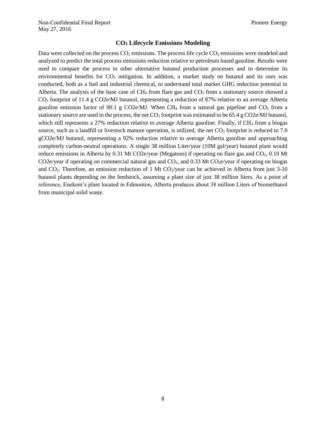#### **CO<sup>2</sup> Lifecycle Emissions Modeling**

Data were collected on the process  $CO<sub>2</sub>$  emissions. The process life cycle  $CO<sub>2</sub>$  emissions were modeled and analyzed to predict the total process emissions reduction relative to petroleum based gasoline. Results were used to compare the process to other alternative butanol production processes and to determine its environmental benefits for  $CO<sub>2</sub>$  mitigation. In addition, a market study on butanol and its uses was conducted, both as a fuel and industrial chemical, to understand total market GHG reduction potential in Alberta. The analysis of the base case of  $CH_4$  from flare gas and  $CO_2$  from a stationary source showed a CO<sup>2</sup> footprint of 11.4 g CO2e/MJ butanol, representing a reduction of 87% relative to an average Alberta gasoline emission factor of 90.1 g CO2e/MJ. When CH<sub>4</sub> from a natural gas pipeline and CO<sub>2</sub> from a stationary source are used in the process, the net  $CO<sub>2</sub>$  footprint was estimated to be 65.4 g CO2e/MJ butanol, which still represents a 27% reduction relative to average Alberta gasoline. Finally, if CH<sub>4</sub> from a biogas source, such as a landfill or livestock manure operation, is utilized, the net  $CO<sub>2</sub>$  footprint is reduced to 7.0 gCO2e/MJ butanol, representing a 92% reduction relative to average Alberta gasoline and approaching completely carbon-neutral operations. A single 38 million Liter/year (10M gal/year) butanol plant would reduce emissions in Alberta by 0.31 Mt CO2e/year (Megatons) if operating on flare gas and CO2, 0.10 Mt CO2e/year if operating on commercial natural gas and  $CO<sub>2</sub>$ , and 0.33 Mt  $CO<sub>2</sub>e/year$  if operating on biogas and  $CO<sub>2</sub>$ . Therefore, an emission reduction of 1 Mt  $CO<sub>2</sub>/year$  can be achieved in Alberta from just 3-10 butanol plants depending on the feedstock, assuming a plant size of just 38 million liters. As a point of reference, Enekem's plant located in Edmonton, Alberta produces about 38 million Liters of biomethanol from municipal solid waste.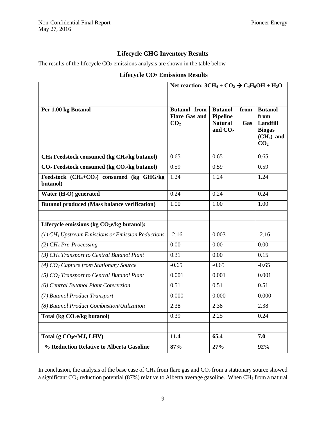## **Lifecycle GHG Inventory Results**

The results of the lifecycle  $CO<sub>2</sub>$  emissions analysis are shown in the table below

## **Lifecycle CO<sup>2</sup> Emissions Results**

|                                                                               | Net reaction: $3CH_4 + CO_2 \rightarrow C_4H_9OH + H_2O$       |                                                                                 |                                                                                              |
|-------------------------------------------------------------------------------|----------------------------------------------------------------|---------------------------------------------------------------------------------|----------------------------------------------------------------------------------------------|
|                                                                               |                                                                |                                                                                 |                                                                                              |
| Per 1.00 kg Butanol                                                           | <b>Butanol</b> from<br><b>Flare Gas and</b><br>CO <sub>2</sub> | <b>Butanol</b><br>from<br><b>Pipeline</b><br><b>Natural</b><br>Gas<br>and $CO2$ | <b>Butanol</b><br>from<br><b>Landfill</b><br><b>Biogas</b><br>$(CH4)$ and<br>CO <sub>2</sub> |
| CH <sub>4</sub> Feedstock consumed (kg CH <sub>4</sub> /kg butanol)           | 0.65                                                           | 0.65                                                                            | 0.65                                                                                         |
| $CO2$ Feedstock consumed (kg $CO2/kg$ butanol)                                | 0.59                                                           | 0.59                                                                            | 0.59                                                                                         |
| Feedstock (CH <sub>4</sub> +CO <sub>2</sub> ) consumed (kg GHG/kg<br>butanol) | 1.24                                                           | 1.24                                                                            | 1.24                                                                                         |
| Water $(H_2O)$ generated                                                      | 0.24                                                           | 0.24                                                                            | 0.24                                                                                         |
| <b>Butanol produced (Mass balance verification)</b>                           | 1.00                                                           | 1.00                                                                            | 1.00                                                                                         |
|                                                                               |                                                                |                                                                                 |                                                                                              |
| Lifecycle emissions (kg CO <sub>2</sub> e/kg butanol):                        |                                                                |                                                                                 |                                                                                              |
| (1) CH <sub>4</sub> Upstream Emissions or Emission Reductions                 | $-2.16$                                                        | 0.003                                                                           | $-2.16$                                                                                      |
| $(2)$ CH <sub>4</sub> Pre-Processing                                          | 0.00                                                           | 0.00                                                                            | 0.00                                                                                         |
| (3) CH <sub>4</sub> Transport to Central Butanol Plant                        | 0.31                                                           | 0.00                                                                            | 0.15                                                                                         |
| (4) CO <sub>2</sub> Capture from Stationary Source                            | $-0.65$                                                        | $-0.65$                                                                         | $-0.65$                                                                                      |
| $(5) CO2 Transport to Central Butanol Plant$                                  | 0.001                                                          | 0.001                                                                           | 0.001                                                                                        |
| (6) Central Butanol Plant Conversion                                          | 0.51                                                           | 0.51                                                                            | 0.51                                                                                         |
| (7) Butanol Product Transport                                                 | 0.000                                                          | 0.000                                                                           | 0.000                                                                                        |
| (8) Butanol Product Combustion/Utilization                                    | 2.38                                                           | 2.38                                                                            | 2.38                                                                                         |
| Total (kg CO <sub>2</sub> e/kg butanol)                                       | 0.39                                                           | 2.25                                                                            | 0.24                                                                                         |
|                                                                               |                                                                |                                                                                 |                                                                                              |
| Total (g CO <sub>2</sub> e/MJ, LHV)                                           | 11.4                                                           | 65.4                                                                            | 7.0                                                                                          |
| % Reduction Relative to Alberta Gasoline                                      | 87%                                                            | 27%                                                                             | 92%                                                                                          |

In conclusion, the analysis of the base case of CH<sub>4</sub> from flare gas and CO<sub>2</sub> from a stationary source showed a significant CO<sup>2</sup> reduction potential (87%) relative to Alberta average gasoline. When CH<sup>4</sup> from a natural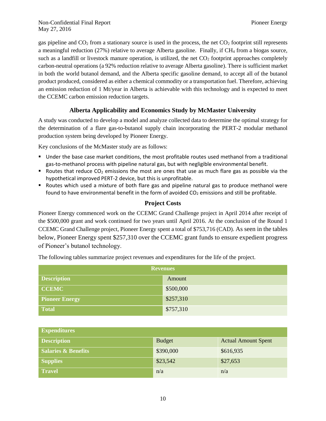gas pipeline and  $CO<sub>2</sub>$  from a stationary source is used in the process, the net  $CO<sub>2</sub>$  footprint still represents a meaningful reduction (27%) relative to average Alberta gasoline. Finally, if CH<sup>4</sup> from a biogas source, such as a landfill or livestock manure operation, is utilized, the net  $CO<sub>2</sub>$  footprint approaches completely carbon-neutral operations (a 92% reduction relative to average Alberta gasoline). There is sufficient market in both the world butanol demand, and the Alberta specific gasoline demand, to accept all of the butanol product produced, considered as either a chemical commodity or a transportation fuel. Therefore, achieving an emission reduction of 1 Mt/year in Alberta is achievable with this technology and is expected to meet the CCEMC carbon emission reduction targets.

## **Alberta Applicability and Economics Study by McMaster University**

A study was conducted to develop a model and analyze collected data to determine the optimal strategy for the determination of a flare gas-to-butanol supply chain incorporating the PERT-2 modular methanol production system being developed by Pioneer Energy.

Key conclusions of the McMaster study are as follows:

- Under the base case market conditions, the most profitable routes used methanol from a traditional gas-to-methanol process with pipeline natural gas, but with negligible environmental benefit.
- Routes that reduce  $CO<sub>2</sub>$  emissions the most are ones that use as much flare gas as possible via the hypothetical improved PERT-2 device, but this is unprofitable.
- **•** Routes which used a mixture of both flare gas and pipeline natural gas to produce methanol were found to have environmental benefit in the form of avoided  $CO<sub>2</sub>$  emissions and still be profitable.

## **Project Costs**

Pioneer Energy commenced work on the CCEMC Grand Challenge project in April 2014 after receipt of the \$500,000 grant and work continued for two years until April 2016. At the conclusion of the Round 1 CCEMC Grand Challenge project, Pioneer Energy spent a total of \$753,716 (CAD). As seen in the tables below, Pioneer Energy spent \$257,310 over the CCEMC grant funds to ensure expedient progress of Pioneer's butanol technology.

The following tables summarize project revenues and expenditures for the life of the project.

| <b>Revenues</b>       |           |  |
|-----------------------|-----------|--|
| <b>Description</b>    | Amount    |  |
| <b>CCEMC</b>          | \$500,000 |  |
| <b>Pioneer Energy</b> | \$257,310 |  |
| <b>Total</b>          | \$757,310 |  |

| <b>Expenditures</b>            |               |                            |  |  |
|--------------------------------|---------------|----------------------------|--|--|
| <b>Description</b>             | <b>Budget</b> | <b>Actual Amount Spent</b> |  |  |
| <b>Salaries &amp; Benefits</b> | \$390,000     | \$616,935                  |  |  |
| <b>Supplies</b>                | \$23,542      | \$27,653                   |  |  |
| <b>Travel</b>                  | n/a           | n/a                        |  |  |